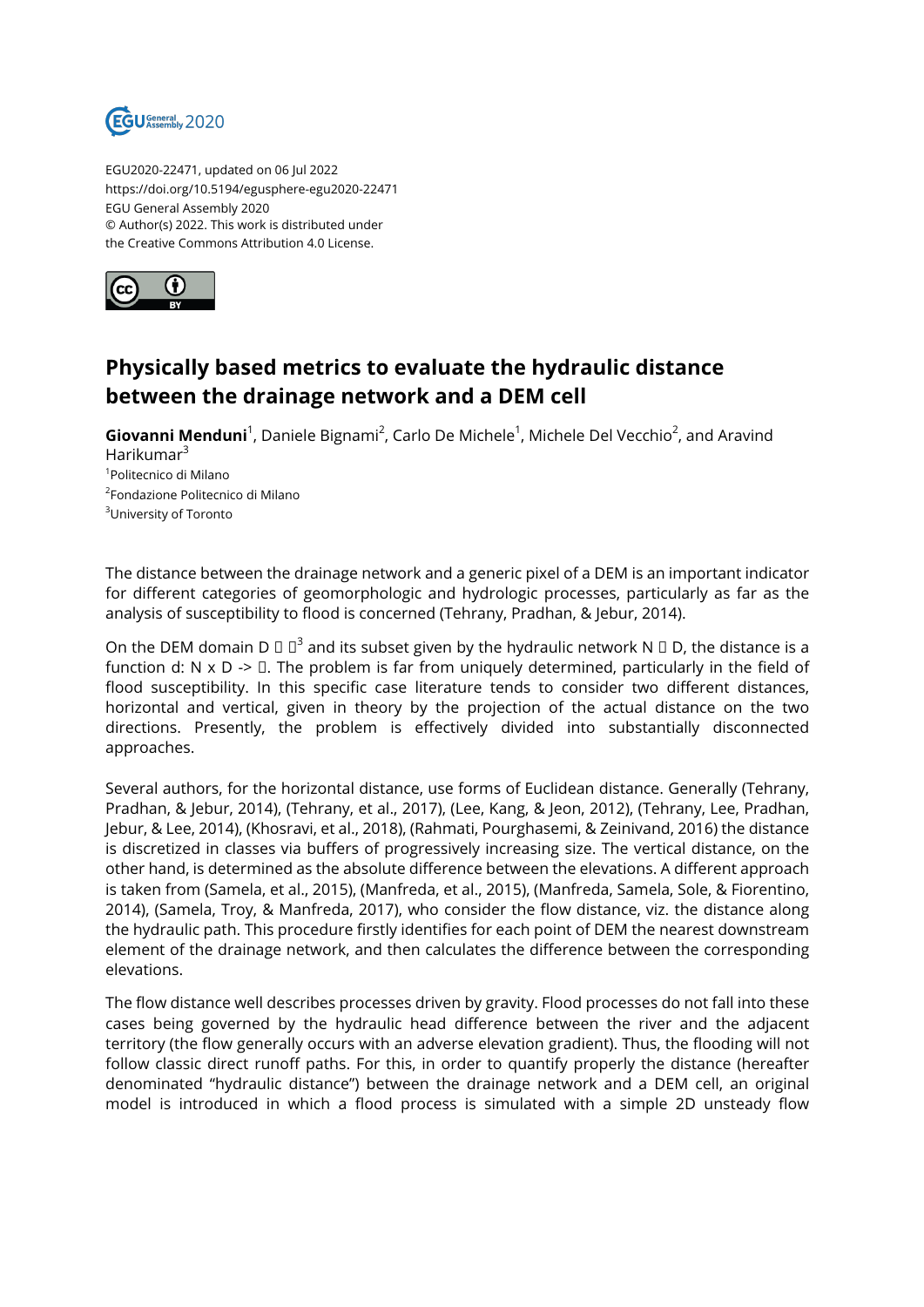

EGU2020-22471, updated on 06 Jul 2022 https://doi.org/10.5194/egusphere-egu2020-22471 EGU General Assembly 2020 © Author(s) 2022. This work is distributed under the Creative Commons Attribution 4.0 License.



## **Physically based metrics to evaluate the hydraulic distance between the drainage network and a DEM cell**

Giovanni Menduni<sup>1</sup>, Daniele Bignami<sup>2</sup>, Carlo De Michele<sup>1</sup>, Michele Del Vecchio<sup>2</sup>, and Aravind Harikumar<sup>3</sup> 1 Politecnico di Milano 2 Fondazione Politecnico di Milano <sup>3</sup>University of Toronto

The distance between the drainage network and a generic pixel of a DEM is an important indicator for different categories of geomorphologic and hydrologic processes, particularly as far as the analysis of susceptibility to flood is concerned (Tehrany, Pradhan, & Jebur, 2014).

On the DEM domain D  $\Box$   $\Box$ <sup>3</sup> and its subset given by the hydraulic network N  $\Box$  D, the distance is a function d: N  $\times$  D ->  $\Box$ . The problem is far from uniquely determined, particularly in the field of flood susceptibility. In this specific case literature tends to consider two different distances, horizontal and vertical, given in theory by the projection of the actual distance on the two directions. Presently, the problem is effectively divided into substantially disconnected approaches.

Several authors, for the horizontal distance, use forms of Euclidean distance. Generally (Tehrany, Pradhan, & Jebur, 2014), (Tehrany, et al., 2017), (Lee, Kang, & Jeon, 2012), (Tehrany, Lee, Pradhan, Jebur, & Lee, 2014), (Khosravi, et al., 2018), (Rahmati, Pourghasemi, & Zeinivand, 2016) the distance is discretized in classes via buffers of progressively increasing size. The vertical distance, on the other hand, is determined as the absolute difference between the elevations. A different approach is taken from (Samela, et al., 2015), (Manfreda, et al., 2015), (Manfreda, Samela, Sole, & Fiorentino, 2014), (Samela, Troy, & Manfreda, 2017), who consider the flow distance, viz. the distance along the hydraulic path. This procedure firstly identifies for each point of DEM the nearest downstream element of the drainage network, and then calculates the difference between the corresponding elevations.

The flow distance well describes processes driven by gravity. Flood processes do not fall into these cases being governed by the hydraulic head difference between the river and the adjacent territory (the flow generally occurs with an adverse elevation gradient). Thus, the flooding will not follow classic direct runoff paths. For this, in order to quantify properly the distance (hereafter denominated "hydraulic distance") between the drainage network and a DEM cell, an original model is introduced in which a flood process is simulated with a simple 2D unsteady flow